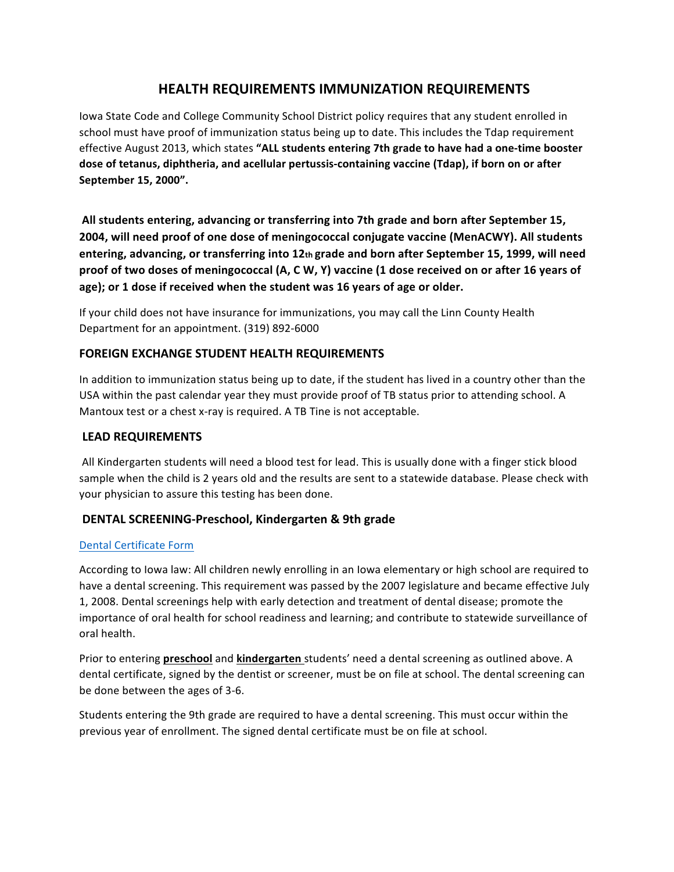# **HEALTH REQUIREMENTS IMMUNIZATION REQUIREMENTS**

Iowa State Code and College Community School District policy requires that any student enrolled in school must have proof of immunization status being up to date. This includes the Tdap requirement effective August 2013, which states "ALL students entering 7th grade to have had a one-time booster dose of tetanus, diphtheria, and acellular pertussis-containing vaccine (Tdap), if born on or after **September&15,&2000".&**

All students entering, advancing or transferring into 7th grade and born after September 15, **2004, will need proof of one dose of meningococcal conjugate vaccine (MenACWY). All students** entering, advancing, or transferring into 12th grade and born after September 15, 1999, will need proof of two doses of meningococcal (A, C W, Y) vaccine (1 dose received on or after 16 years of age); or 1 dose if received when the student was 16 years of age or older.

If your child does not have insurance for immunizations, you may call the Linn County Health Department for an appointment. (319) 892-6000

# **FOREIGN EXCHANGE STUDENT HEALTH REQUIREMENTS**

In addition to immunization status being up to date, if the student has lived in a country other than the USA within the past calendar year they must provide proof of TB status prior to attending school. A Mantoux test or a chest x-ray is required. A TB Tine is not acceptable.

### LEAD REQUIREMENTS

All Kindergarten students will need a blood test for lead. This is usually done with a finger stick blood sample when the child is 2 years old and the results are sent to a statewide database. Please check with your physician to assure this testing has been done.

### **DENTAL SCREENING-Preschool, Kindergarten & 9th grade**

#### Dental Certificate Form

According to Iowa law: All children newly enrolling in an Iowa elementary or high school are required to have a dental screening. This requirement was passed by the 2007 legislature and became effective July 1, 2008. Dental screenings help with early detection and treatment of dental disease; promote the importance of oral health for school readiness and learning; and contribute to statewide surveillance of oral health.

Prior to entering **preschool** and **kindergarten** students' need a dental screening as outlined above. A dental certificate, signed by the dentist or screener, must be on file at school. The dental screening can be done between the ages of 3-6.

Students entering the 9th grade are required to have a dental screening. This must occur within the previous year of enrollment. The signed dental certificate must be on file at school.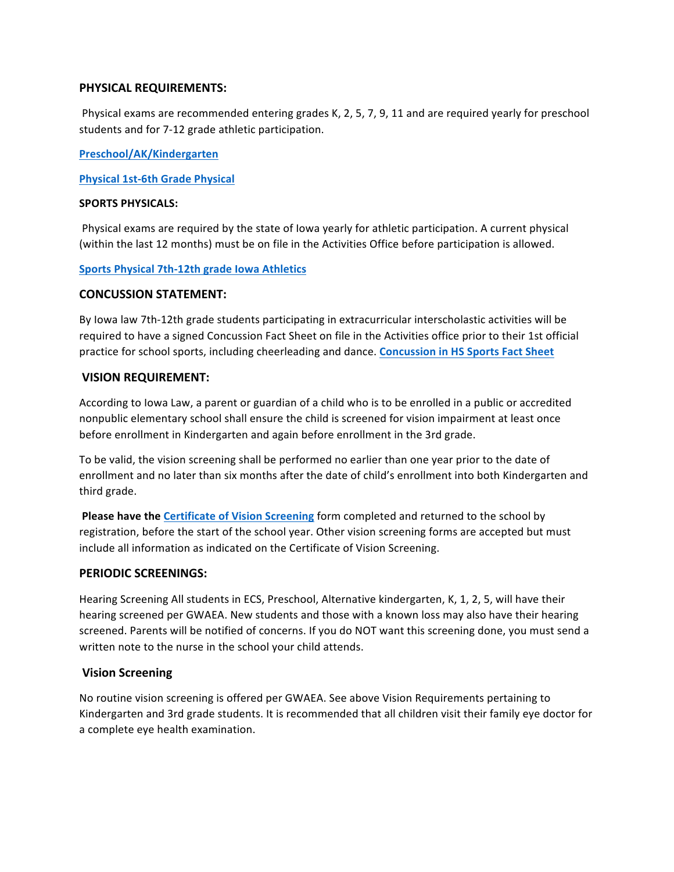### **PHYSICAL REQUIREMENTS:**

Physical exams are recommended entering grades K, 2, 5, 7, 9, 11 and are required yearly for preschool students and for 7-12 grade athletic participation.

**Preschool/AK/Kindergarten**

**Physical 1st-6th Grade Physical** 

#### **SPORTS PHYSICALS:**

Physical exams are required by the state of Iowa yearly for athletic participation. A current physical (within the last 12 months) must be on file in the Activities Office before participation is allowed.

#### Sports Physical 7th-12th grade Iowa Athletics

#### **CONCUSSION STATEMENT:**

By Iowa law 7th-12th grade students participating in extracurricular interscholastic activities will be required to have a signed Concussion Fact Sheet on file in the Activities office prior to their 1st official practice for school sports, including cheerleading and dance. **Concussion in HS Sports Fact Sheet** 

#### **VISION REQUIREMENT:**

According to Iowa Law, a parent or guardian of a child who is to be enrolled in a public or accredited nonpublic elementary school shall ensure the child is screened for vision impairment at least once before enrollment in Kindergarten and again before enrollment in the 3rd grade.

To be valid, the vision screening shall be performed no earlier than one year prior to the date of enrollment and no later than six months after the date of child's enrollment into both Kindergarten and third grade.

Please have the Certificate of Vision Screening form completed and returned to the school by registration, before the start of the school year. Other vision screening forms are accepted but must include all information as indicated on the Certificate of Vision Screening.

#### **PERIODIC SCREENINGS:**

Hearing Screening All students in ECS, Preschool, Alternative kindergarten, K, 1, 2, 5, will have their hearing screened per GWAEA. New students and those with a known loss may also have their hearing screened. Parents will be notified of concerns. If you do NOT want this screening done, you must send a written note to the nurse in the school your child attends.

### **Vision Screening**

No routine vision screening is offered per GWAEA. See above Vision Requirements pertaining to Kindergarten and 3rd grade students. It is recommended that all children visit their family eye doctor for a complete eye health examination.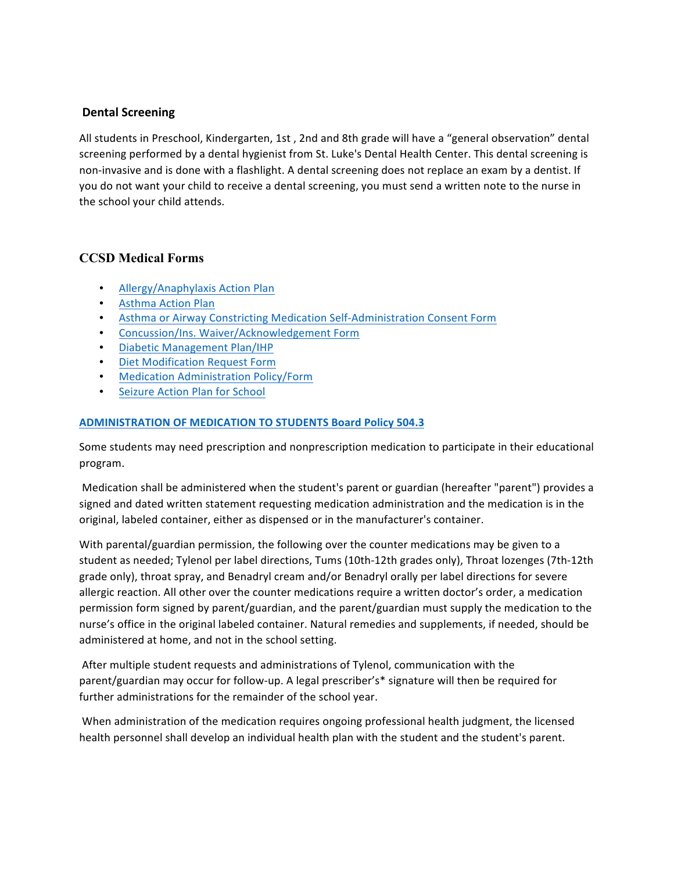# **Dental Screening**

All students in Preschool, Kindergarten, 1st, 2nd and 8th grade will have a "general observation" dental screening performed by a dental hygienist from St. Luke's Dental Health Center. This dental screening is non-invasive and is done with a flashlight. A dental screening does not replace an exam by a dentist. If you do not want your child to receive a dental screening, you must send a written note to the nurse in the school your child attends.

# **CCSD Medical Forms**

- Allergy/Anaphylaxis Action Plan
- Asthma Action Plan
- Asthma or Airway Constricting Medication Self-Administration Consent Form
- Concussion/Ins. Waiver/Acknowledgement Form
- Diabetic Management Plan/IHP
- Diet Modification Request Form
- **Medication Administration Policy/Form**
- Seizure Action Plan for School

#### **ADMINISTRATION OF MEDICATION TO STUDENTS Board Policy 504.3**

Some students may need prescription and nonprescription medication to participate in their educational program.

Medication shall be administered when the student's parent or guardian (hereafter "parent") provides a signed and dated written statement requesting medication administration and the medication is in the original, labeled container, either as dispensed or in the manufacturer's container.

With parental/guardian permission, the following over the counter medications may be given to a student as needed; Tylenol per label directions, Tums (10th-12th grades only), Throat lozenges (7th-12th grade only), throat spray, and Benadryl cream and/or Benadryl orally per label directions for severe allergic reaction. All other over the counter medications require a written doctor's order, a medication permission form signed by parent/guardian, and the parent/guardian must supply the medication to the nurse's office in the original labeled container. Natural remedies and supplements, if needed, should be administered at home, and not in the school setting.

After multiple student requests and administrations of Tylenol, communication with the parent/guardian may occur for follow-up. A legal prescriber's\* signature will then be required for further administrations for the remainder of the school year.

When administration of the medication requires ongoing professional health judgment, the licensed health personnel shall develop an individual health plan with the student and the student's parent.